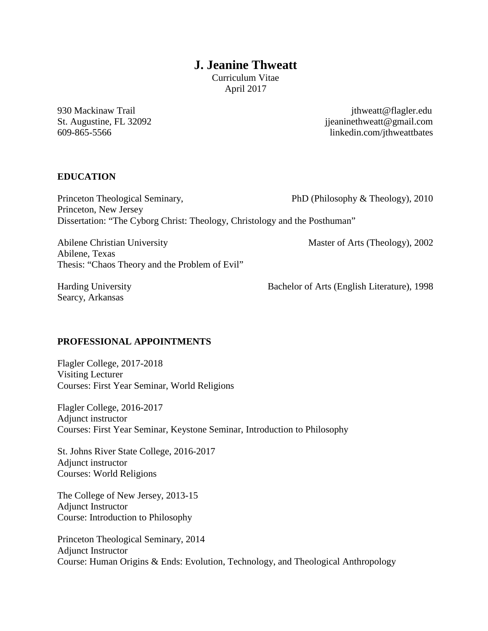# **J. Jeanine Thweatt**

Curriculum Vitae April 2017

930 Mackinaw Trail intervals and the set of the set of the set of the set of the set of the set of the set of the set of the set of the set of the set of the set of the set of the set of the set of the set of the set of th  $ijeanineth weatt@gmail.com$ 609-865-5566 linkedin.com/jthweattbates

### **EDUCATION**

Princeton Theological Seminary, PhD (Philosophy & Theology), 2010 Princeton, New Jersey Dissertation: "The Cyborg Christ: Theology, Christology and the Posthuman"

Abilene Christian University Master of Arts (Theology), 2002 Abilene, Texas Thesis: "Chaos Theory and the Problem of Evil"

Searcy, Arkansas

Harding University Bachelor of Arts (English Literature), 1998

### **PROFESSIONAL APPOINTMENTS**

Flagler College, 2017-2018 Visiting Lecturer Courses: First Year Seminar, World Religions

Flagler College, 2016-2017 Adjunct instructor Courses: First Year Seminar, Keystone Seminar, Introduction to Philosophy

St. Johns River State College, 2016-2017 Adjunct instructor Courses: World Religions

The College of New Jersey, 2013-15 Adjunct Instructor Course: Introduction to Philosophy

Princeton Theological Seminary, 2014 Adjunct Instructor Course: Human Origins & Ends: Evolution, Technology, and Theological Anthropology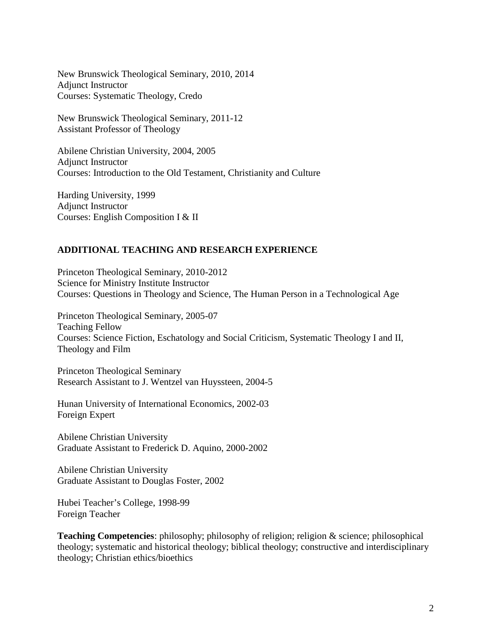New Brunswick Theological Seminary, 2010, 2014 Adjunct Instructor Courses: Systematic Theology, Credo

New Brunswick Theological Seminary, 2011-12 Assistant Professor of Theology

Abilene Christian University, 2004, 2005 Adjunct Instructor Courses: Introduction to the Old Testament, Christianity and Culture

Harding University, 1999 Adjunct Instructor Courses: English Composition I & II

### **ADDITIONAL TEACHING AND RESEARCH EXPERIENCE**

Princeton Theological Seminary, 2010-2012 Science for Ministry Institute Instructor Courses: Questions in Theology and Science, The Human Person in a Technological Age

Princeton Theological Seminary, 2005-07 Teaching Fellow Courses: Science Fiction, Eschatology and Social Criticism, Systematic Theology I and II, Theology and Film

Princeton Theological Seminary Research Assistant to J. Wentzel van Huyssteen, 2004-5

Hunan University of International Economics, 2002-03 Foreign Expert

Abilene Christian University Graduate Assistant to Frederick D. Aquino, 2000-2002

Abilene Christian University Graduate Assistant to Douglas Foster, 2002

Hubei Teacher's College, 1998-99 Foreign Teacher

**Teaching Competencies**: philosophy; philosophy of religion; religion & science; philosophical theology; systematic and historical theology; biblical theology; constructive and interdisciplinary theology; Christian ethics/bioethics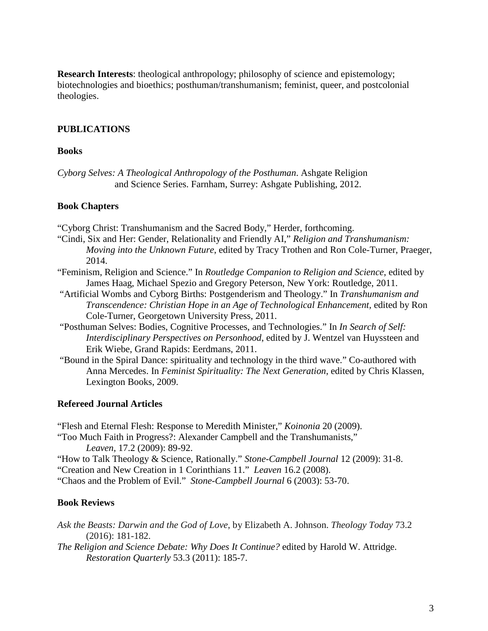**Research Interests**: theological anthropology; philosophy of science and epistemology; biotechnologies and bioethics; posthuman/transhumanism; feminist, queer, and postcolonial theologies.

### **PUBLICATIONS**

#### **Books**

*Cyborg Selves: A Theological Anthropology of the Posthuman*. Ashgate Religion and Science Series. Farnham, Surrey: Ashgate Publishing, 2012.

#### **Book Chapters**

"Cyborg Christ: Transhumanism and the Sacred Body," Herder, forthcoming.

- "Cindi, Six and Her: Gender, Relationality and Friendly AI," *Religion and Transhumanism: Moving into the Unknown Future*, edited by Tracy Trothen and Ron Cole-Turner, Praeger, 2014.
- "Feminism, Religion and Science." In *Routledge Companion to Religion and Science*, edited by James Haag, Michael Spezio and Gregory Peterson, New York: Routledge, 2011.
- "Artificial Wombs and Cyborg Births: Postgenderism and Theology." In *Transhumanism and Transcendence: Christian Hope in an Age of Technological Enhancement,* edited by Ron Cole-Turner, Georgetown University Press, 2011.
- "Posthuman Selves: Bodies, Cognitive Processes, and Technologies." In *In Search of Self: Interdisciplinary Perspectives on Personhood*, edited by J. Wentzel van Huyssteen and Erik Wiebe, Grand Rapids: Eerdmans, 2011.
- "Bound in the Spiral Dance: spirituality and technology in the third wave." Co-authored with Anna Mercedes. In *Feminist Spirituality: The Next Generation*, edited by Chris Klassen, Lexington Books, 2009.

#### **Refereed Journal Articles**

"Flesh and Eternal Flesh: Response to Meredith Minister," *Koinonia* 20 (2009).

- "Too Much Faith in Progress?: Alexander Campbell and the Transhumanists," *Leaven,* 17.2 (2009): 89-92.
- "How to Talk Theology & Science, Rationally." *Stone-Campbell Journal* 12 (2009): 31-8.
- "Creation and New Creation in 1 Corinthians 11." *Leaven* 16.2 (2008).

"Chaos and the Problem of Evil." *Stone-Campbell Journal* 6 (2003): 53-70.

#### **Book Reviews**

- *Ask the Beasts: Darwin and the God of Love*, by Elizabeth A. Johnson. *Theology Today* 73.2 (2016): 181-182.
- *The Religion and Science Debate: Why Does It Continue?* edited by Harold W. Attridge. *Restoration Quarterly* 53.3 (2011): 185-7.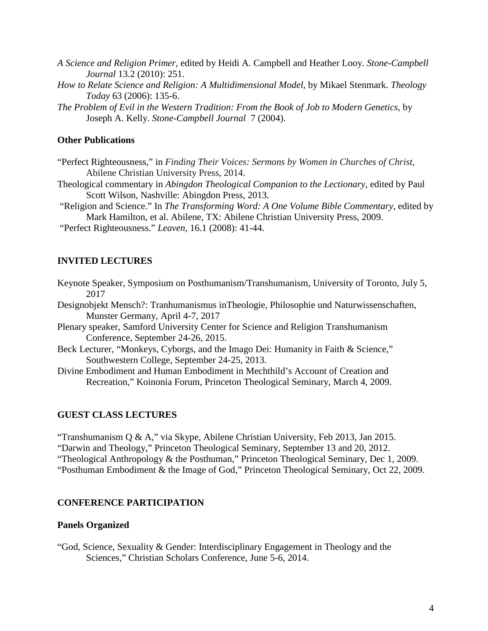*A Science and Religion Primer*, edited by Heidi A. Campbell and Heather Looy. *Stone-Campbell Journal* 13.2 (2010): 251.

- *How to Relate Science and Religion: A Multidimensional Model,* by Mikael Stenmark. *Theology Today* 63 (2006): 135-6.
- *The Problem of Evil in the Western Tradition: From the Book of Job to Modern Genetics*, by Joseph A. Kelly. *Stone-Campbell Journal* 7 (2004).

### **Other Publications**

- "Perfect Righteousness," in *Finding Their Voices: Sermons by Women in Churches of Christ,*  Abilene Christian University Press, 2014.
- Theological commentary in *Abingdon Theological Companion to the Lectionary*, edited by Paul Scott Wilson, Nashville: Abingdon Press, 2013.

"Religion and Science." In *The Transforming Word: A One Volume Bible Commentary*, edited by Mark Hamilton, et al. Abilene, TX: Abilene Christian University Press, 2009.

"Perfect Righteousness." *Leaven,* 16.1 (2008): 41-44.

### **INVITED LECTURES**

- Keynote Speaker, Symposium on Posthumanism/Transhumanism, University of Toronto, July 5, 2017
- Designobjekt Mensch?: Tranhumanismus inTheologie, Philosophie und Naturwissenschaften, Munster Germany, April 4-7, 2017
- Plenary speaker, Samford University Center for Science and Religion Transhumanism Conference, September 24-26, 2015.
- Beck Lecturer, "Monkeys, Cyborgs, and the Imago Dei: Humanity in Faith & Science," Southwestern College, September 24-25, 2013.
- Divine Embodiment and Human Embodiment in Mechthild's Account of Creation and Recreation," Koinonia Forum, Princeton Theological Seminary, March 4, 2009.

#### **GUEST CLASS LECTURES**

"Transhumanism Q & A," via Skype, Abilene Christian University, Feb 2013, Jan 2015.

"Darwin and Theology," Princeton Theological Seminary, September 13 and 20, 2012.

"Theological Anthropology & the Posthuman," Princeton Theological Seminary, Dec 1, 2009.

"Posthuman Embodiment & the Image of God," Princeton Theological Seminary, Oct 22, 2009.

#### **CONFERENCE PARTICIPATION**

#### **Panels Organized**

"God, Science, Sexuality & Gender: Interdisciplinary Engagement in Theology and the Sciences," Christian Scholars Conference, June 5-6, 2014.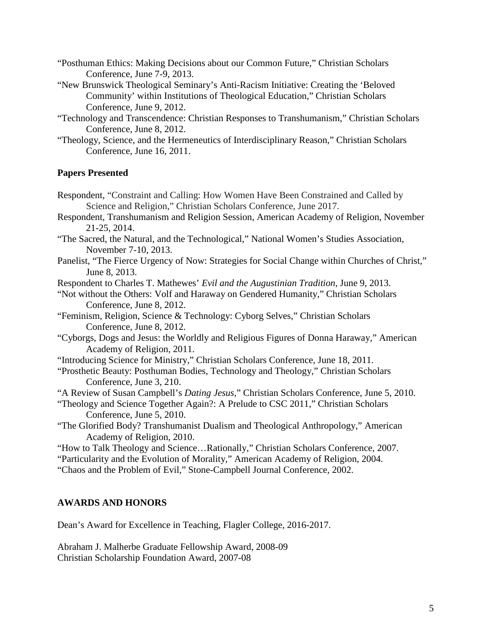- "Posthuman Ethics: Making Decisions about our Common Future," Christian Scholars Conference, June 7-9, 2013.
- "New Brunswick Theological Seminary's Anti-Racism Initiative: Creating the 'Beloved Community' within Institutions of Theological Education," Christian Scholars Conference, June 9, 2012.
- "Technology and Transcendence: Christian Responses to Transhumanism," Christian Scholars Conference, June 8, 2012.
- "Theology, Science, and the Hermeneutics of Interdisciplinary Reason," Christian Scholars Conference, June 16, 2011.

### **Papers Presented**

- Respondent, "Constraint and Calling: How Women Have Been Constrained and Called by Science and Religion," Christian Scholars Conference, June 2017.
- Respondent, Transhumanism and Religion Session, American Academy of Religion, November 21-25, 2014.
- "The Sacred, the Natural, and the Technological," National Women's Studies Association, November 7-10, 2013.
- Panelist, "The Fierce Urgency of Now: Strategies for Social Change within Churches of Christ," June 8, 2013.
- Respondent to Charles T. Mathewes' *Evil and the Augustinian Tradition*, June 9, 2013.
- "Not without the Others: Volf and Haraway on Gendered Humanity," Christian Scholars Conference, June 8, 2012.
- "Feminism, Religion, Science & Technology: Cyborg Selves," Christian Scholars Conference, June 8, 2012.
- "Cyborgs, Dogs and Jesus: the Worldly and Religious Figures of Donna Haraway," American Academy of Religion, 2011.
- "Introducing Science for Ministry," Christian Scholars Conference, June 18, 2011.
- "Prosthetic Beauty: Posthuman Bodies, Technology and Theology," Christian Scholars Conference, June 3, 210.
- "A Review of Susan Campbell's *Dating Jesus*," Christian Scholars Conference, June 5, 2010.
- "Theology and Science Together Again?: A Prelude to CSC 2011," Christian Scholars Conference, June 5, 2010.
- "The Glorified Body? Transhumanist Dualism and Theological Anthropology," American Academy of Religion, 2010.
- "How to Talk Theology and Science…Rationally," Christian Scholars Conference, 2007.
- "Particularity and the Evolution of Morality," American Academy of Religion, 2004.
- "Chaos and the Problem of Evil," Stone-Campbell Journal Conference, 2002.

### **AWARDS AND HONORS**

Dean's Award for Excellence in Teaching, Flagler College, 2016-2017.

Abraham J. Malherbe Graduate Fellowship Award, 2008-09 Christian Scholarship Foundation Award, 2007-08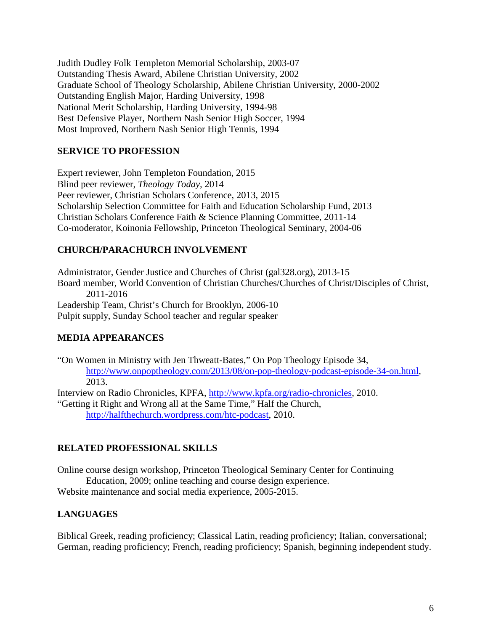Judith Dudley Folk Templeton Memorial Scholarship, 2003-07 Outstanding Thesis Award, Abilene Christian University, 2002 Graduate School of Theology Scholarship, Abilene Christian University, 2000-2002 Outstanding English Major, Harding University, 1998 National Merit Scholarship, Harding University, 1994-98 Best Defensive Player, Northern Nash Senior High Soccer, 1994 Most Improved, Northern Nash Senior High Tennis, 1994

### **SERVICE TO PROFESSION**

Expert reviewer, John Templeton Foundation, 2015 Blind peer reviewer, *Theology Today,* 2014 Peer reviewer, Christian Scholars Conference, 2013, 2015 Scholarship Selection Committee for Faith and Education Scholarship Fund, 2013 Christian Scholars Conference Faith & Science Planning Committee, 2011-14 Co-moderator, Koinonia Fellowship, Princeton Theological Seminary, 2004-06

### **CHURCH/PARACHURCH INVOLVEMENT**

Administrator, Gender Justice and Churches of Christ (gal328.org), 2013-15 Board member, World Convention of Christian Churches/Churches of Christ/Disciples of Christ, 2011-2016 Leadership Team, Christ's Church for Brooklyn, 2006-10 Pulpit supply, Sunday School teacher and regular speaker

## **MEDIA APPEARANCES**

"On Women in Ministry with Jen Thweatt-Bates," On Pop Theology Episode 34, [http://www.onpoptheology.com/2013/08/on-pop-theology-podcast-episode-34-on.html,](http://www.onpoptheology.com/2013/08/on-pop-theology-podcast-episode-34-on.html) 2013.

Interview on Radio Chronicles, KPFA, [http://www.kpfa.org/radio-chronicles,](http://www.kpfa.org/radio-chronicles) 2010. "Getting it Right and Wrong all at the Same Time," Half the Church, [http://halfthechurch.wordpress.com/htc-podcast,](http://halfthechurch.wordpress.com/htc-podcast) 2010.

### **RELATED PROFESSIONAL SKILLS**

Online course design workshop, Princeton Theological Seminary Center for Continuing Education, 2009; online teaching and course design experience.

Website maintenance and social media experience, 2005-2015.

## **LANGUAGES**

Biblical Greek, reading proficiency; Classical Latin, reading proficiency; Italian, conversational; German, reading proficiency; French, reading proficiency; Spanish, beginning independent study.